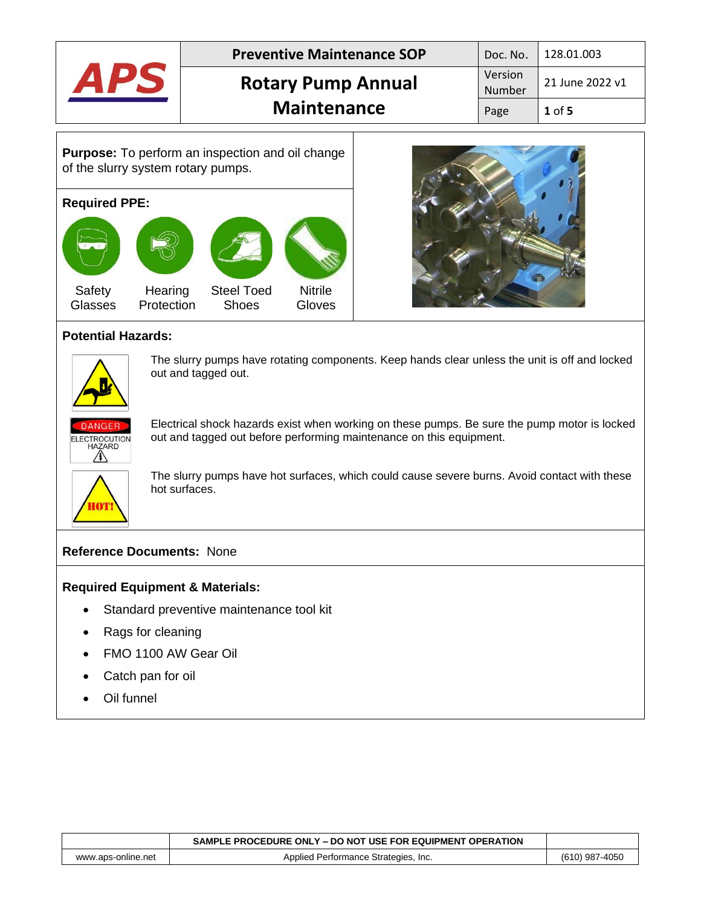|                                                                                                                                                                                                                                      |  | <b>Preventive Maintenance SOP</b> |  | Doc. No.                 | 128.01.003      |          |
|--------------------------------------------------------------------------------------------------------------------------------------------------------------------------------------------------------------------------------------|--|-----------------------------------|--|--------------------------|-----------------|----------|
| <b>APS</b>                                                                                                                                                                                                                           |  | <b>Rotary Pump Annual</b>         |  | Version<br><b>Number</b> | 21 June 2022 v1 |          |
|                                                                                                                                                                                                                                      |  | <b>Maintenance</b>                |  |                          | Page            | $1$ of 5 |
| <b>Purpose:</b> To perform an inspection and oil change<br>of the slurry system rotary pumps.<br><b>Required PPE:</b><br><b>Nitrile</b><br>Safety<br>Hearing<br><b>Steel Toed</b><br>Protection<br>Glasses<br><b>Shoes</b><br>Gloves |  |                                   |  |                          |                 |          |

## **Potential Hazards:**



The slurry pumps have rotating components. Keep hands clear unless the unit is off and locked out and tagged out.



Electrical shock hazards exist when working on these pumps. Be sure the pump motor is locked out and tagged out before performing maintenance on this equipment.



The slurry pumps have hot surfaces, which could cause severe burns. Avoid contact with these hot surfaces.

## **Reference Documents:** None

## **Required Equipment & Materials:**

- Standard preventive maintenance tool kit
- Rags for cleaning
- FMO 1100 AW Gear Oil
- Catch pan for oil
- Oil funnel

|                    | SAMPLE PROCEDURE ONLY – DO NOT USE FOR EQUIPMENT OPERATION |                |
|--------------------|------------------------------------------------------------|----------------|
| www.aps-online.net | Applied Performance Strategies, Inc.                       | (610) 987-4050 |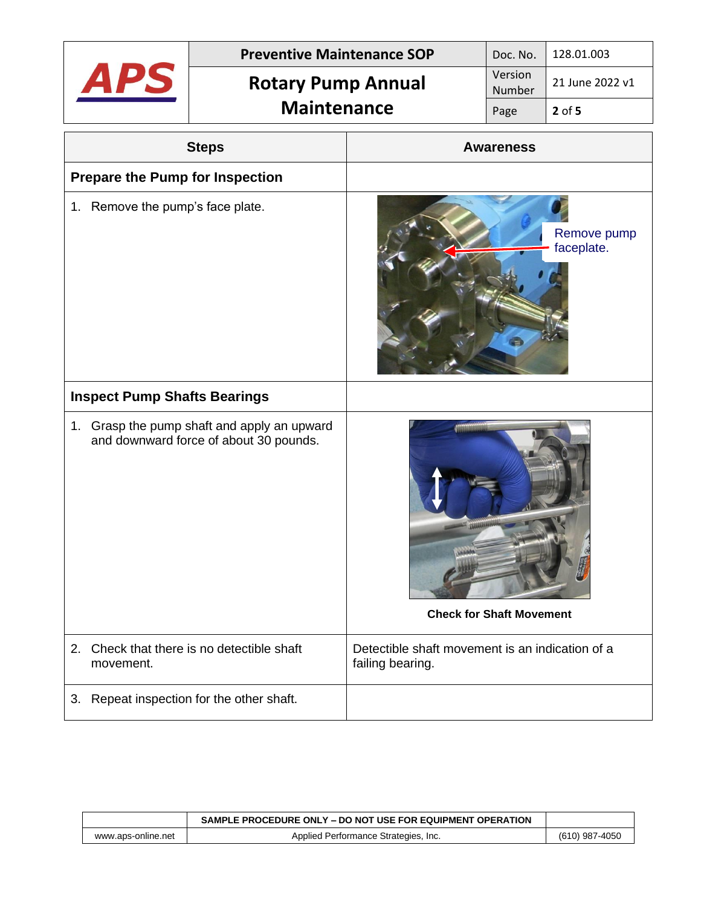|                                                                                       | <b>Preventive Maintenance SOP</b>          |                                                                     | Doc. No.          | 128.01.003                |
|---------------------------------------------------------------------------------------|--------------------------------------------|---------------------------------------------------------------------|-------------------|---------------------------|
|                                                                                       | <b>Rotary Pump Annual</b>                  |                                                                     | Version<br>Number | 21 June 2022 v1           |
|                                                                                       | <b>Maintenance</b>                         |                                                                     | Page              | $2$ of 5                  |
|                                                                                       | <b>Steps</b>                               |                                                                     | <b>Awareness</b>  |                           |
| <b>Prepare the Pump for Inspection</b>                                                |                                            |                                                                     |                   |                           |
| 1. Remove the pump's face plate.                                                      |                                            |                                                                     |                   | Remove pump<br>faceplate. |
| <b>Inspect Pump Shafts Bearings</b>                                                   |                                            |                                                                     |                   |                           |
| 1. Grasp the pump shaft and apply an upward<br>and downward force of about 30 pounds. |                                            | <b>Check for Shaft Movement</b>                                     |                   |                           |
| movement.                                                                             | 2. Check that there is no detectible shaft | Detectible shaft movement is an indication of a<br>failing bearing. |                   |                           |
| 3.                                                                                    | Repeat inspection for the other shaft.     |                                                                     |                   |                           |

|                    | SAMPLE PROCEDURE ONLY – DO NOT USE FOR EQUIPMENT OPERATION |                |
|--------------------|------------------------------------------------------------|----------------|
| www.aps-online.net | Applied Performance Strategies, Inc.                       | (610) 987-4050 |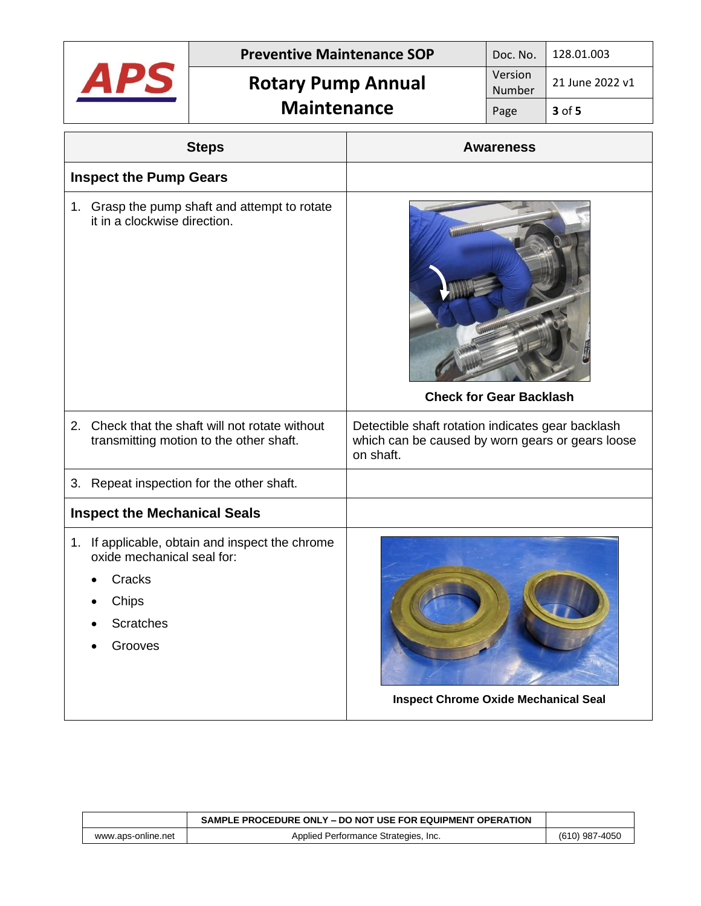|                                                                                                                                 | <b>Preventive Maintenance SOP</b><br><b>Rotary Pump Annual</b> |                                                                                                                    | Doc. No.          | 128.01.003      |
|---------------------------------------------------------------------------------------------------------------------------------|----------------------------------------------------------------|--------------------------------------------------------------------------------------------------------------------|-------------------|-----------------|
| APS                                                                                                                             |                                                                |                                                                                                                    | Version<br>Number | 21 June 2022 v1 |
|                                                                                                                                 | <b>Maintenance</b>                                             |                                                                                                                    | Page              | 3 of 5          |
|                                                                                                                                 | <b>Steps</b>                                                   |                                                                                                                    | <b>Awareness</b>  |                 |
| <b>Inspect the Pump Gears</b>                                                                                                   |                                                                |                                                                                                                    |                   |                 |
| it in a clockwise direction.                                                                                                    | 1. Grasp the pump shaft and attempt to rotate                  | <b>Check for Gear Backlash</b>                                                                                     |                   |                 |
| Check that the shaft will not rotate without<br>2.<br>transmitting motion to the other shaft.                                   |                                                                | Detectible shaft rotation indicates gear backlash<br>which can be caused by worn gears or gears loose<br>on shaft. |                   |                 |
| 3.                                                                                                                              | Repeat inspection for the other shaft.                         |                                                                                                                    |                   |                 |
| <b>Inspect the Mechanical Seals</b>                                                                                             |                                                                |                                                                                                                    |                   |                 |
| 1. If applicable, obtain and inspect the chrome<br>oxide mechanical seal for:<br>Cracks<br>Chips<br><b>Scratches</b><br>Grooves |                                                                | <b>Inspect Chrome Oxide Mechanical Seal</b>                                                                        |                   |                 |

|                    | SAMPLE PROCEDURE ONLY – DO NOT USE FOR EQUIPMENT OPERATION |                |
|--------------------|------------------------------------------------------------|----------------|
| www.aps-online.net | Applied Performance Strategies, Inc.                       | (610) 987-4050 |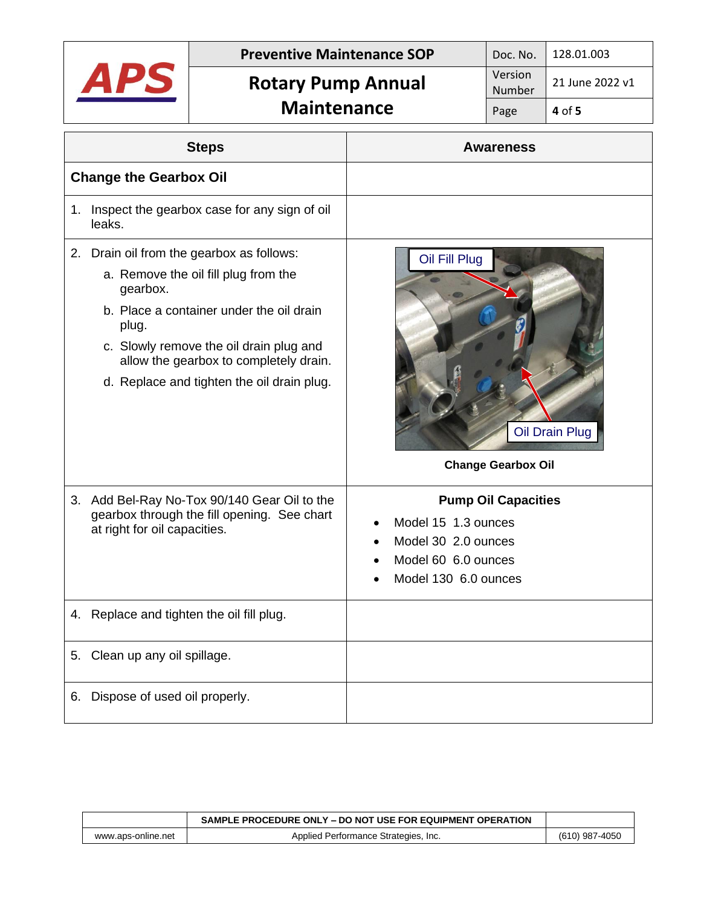

|                    | SAMPLE PROCEDURE ONLY – DO NOT USE FOR EQUIPMENT OPERATION |                  |
|--------------------|------------------------------------------------------------|------------------|
| www.aps-online.net | Applied Performance Strategies, Inc.                       | $(610)$ 987-4050 |